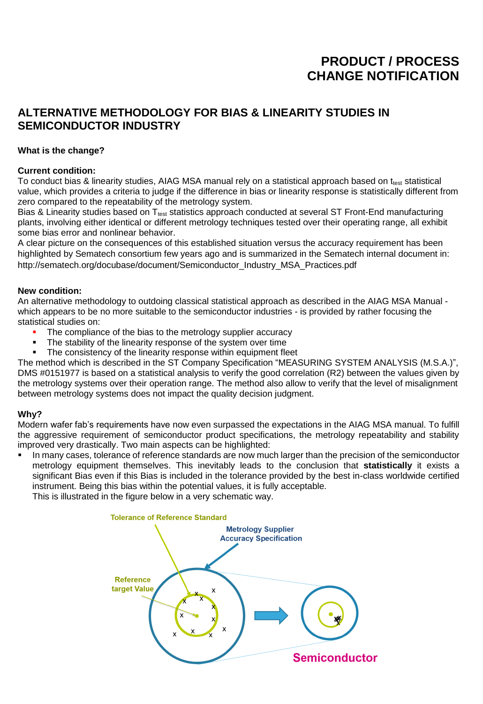# **PRODUCT / PROCESS CHANGE NOTIFICATION**

# **ALTERNATIVE METHODOLOGY FOR BIAS & LINEARITY STUDIES IN SEMICONDUCTOR INDUSTRY**

# **What is the change?**

### **Current condition:**

To conduct bias & linearity studies, AIAG MSA manual rely on a statistical approach based on ttest statistical value, which provides a criteria to judge if the difference in bias or linearity response is statistically different from zero compared to the repeatability of the metrology system.

Bias & Linearity studies based on T<sub>test</sub> statistics approach conducted at several ST Front-End manufacturing plants, involving either identical or different metrology techniques tested over their operating range, all exhibit some bias error and nonlinear behavior.

A clear picture on the consequences of this established situation versus the accuracy requirement has been highlighted by Sematech consortium few years ago and is summarized in the Sematech internal document in: [http://sematech.org/docubase/document/Semiconductor\\_Industry\\_MSA\\_Practices.pdf](http://sematech.org/docubase/document/Semiconductor_Industry_MSA_Practices.pdf)

#### **New condition:**

An alternative methodology to outdoing classical statistical approach as described in the AIAG MSA Manual which appears to be no more suitable to the semiconductor industries - is provided by rather focusing the statistical studies on:

- The compliance of the bias to the metrology supplier accuracy
- **•** The stability of the linearity response of the system over time
- **•** The consistency of the linearity response within equipment fleet

The method which is described in the ST Company Specification "MEASURING SYSTEM ANALYSIS (M.S.A.)", DMS #0151977 is based on a statistical analysis to verify the good correlation (R2) between the values given by the metrology systems over their operation range. The method also allow to verify that the level of misalignment between metrology systems does not impact the quality decision judgment.

#### **Why?**

Modern wafer fab's requirements have now even surpassed the expectations in the AIAG MSA manual. To fulfill the aggressive requirement of semiconductor product specifications, the metrology repeatability and stability improved very drastically. Two main aspects can be highlighted:

In many cases, tolerance of reference standards are now much larger than the precision of the semiconductor metrology equipment themselves. This inevitably leads to the conclusion that **statistically** it exists a significant Bias even if this Bias is included in the tolerance provided by the best in-class worldwide certified instrument. Being this bias within the potential values, it is fully acceptable. This is illustrated in the figure below in a very schematic way.

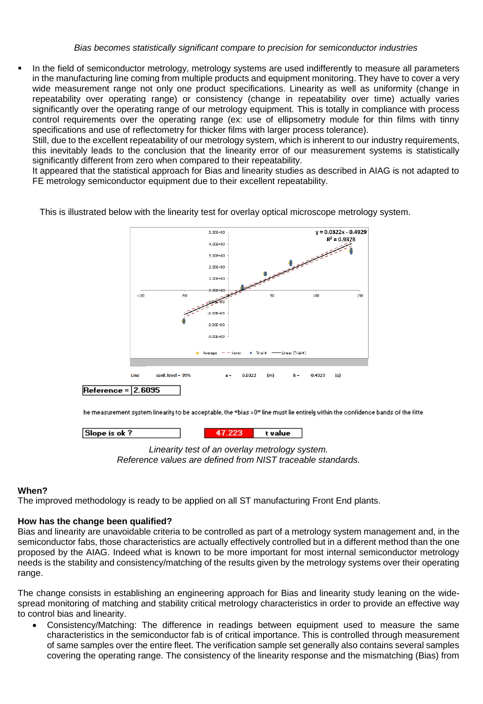#### *Bias becomes statistically significant compare to precision for semiconductor industries*

In the field of semiconductor metrology, metrology systems are used indifferently to measure all parameters in the manufacturing line coming from multiple products and equipment monitoring. They have to cover a very wide measurement range not only one product specifications. Linearity as well as uniformity (change in repeatability over operating range) or consistency (change in repeatability over time) actually varies significantly over the operating range of our metrology equipment. This is totally in compliance with process control requirements over the operating range (ex: use of ellipsometry module for thin films with tinny specifications and use of reflectometry for thicker films with larger process tolerance).

Still, due to the excellent repeatability of our metrology system, which is inherent to our industry requirements, this inevitably leads to the conclusion that the linearity error of our measurement systems is statistically significantly different from zero when compared to their repeatability.

It appeared that the statistical approach for Bias and linearity studies as described in AIAG is not adapted to FE metrology semiconductor equipment due to their excellent repeatability.

This is illustrated below with the linearity test for overlay optical microscope metrology system.



he measurement system linearity to be acceptable, the "bias =0" line must lie entirely within the confidence bands of the fitte



*Linearity test of an overlay metrology system. Reference values are defined from NIST traceable standards.*

#### **When?**

The improved methodology is ready to be applied on all ST manufacturing Front End plants.

## **How has the change been qualified?**

Bias and linearity are unavoidable criteria to be controlled as part of a metrology system management and, in the semiconductor fabs, those characteristics are actually effectively controlled but in a different method than the one proposed by the AIAG. Indeed what is known to be more important for most internal semiconductor metrology needs is the stability and consistency/matching of the results given by the metrology systems over their operating range.

The change consists in establishing an engineering approach for Bias and linearity study leaning on the widespread monitoring of matching and stability critical metrology characteristics in order to provide an effective way to control bias and linearity.

• Consistency/Matching: The difference in readings between equipment used to measure the same characteristics in the semiconductor fab is of critical importance. This is controlled through measurement of same samples over the entire fleet. The verification sample set generally also contains several samples covering the operating range. The consistency of the linearity response and the mismatching (Bias) from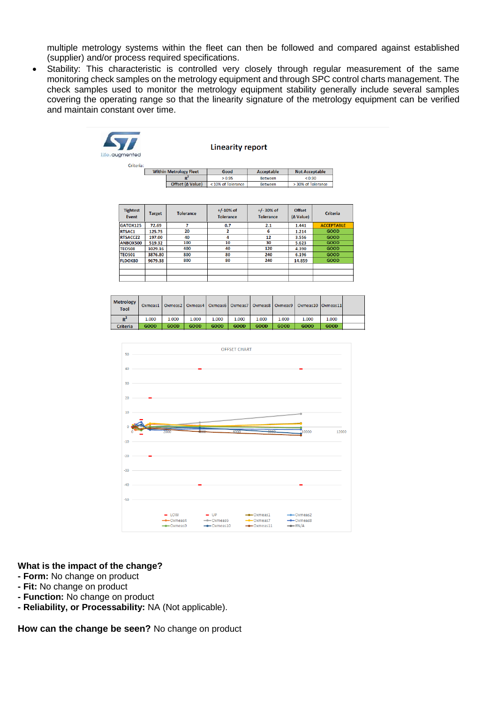multiple metrology systems within the fleet can then be followed and compared against established (supplier) and/or process required specifications.

Stability: This characteristic is controlled very closely through regular measurement of the same monitoring check samples on the metrology equipment and through SPC control charts management. The check samples used to monitor the metrology equipment stability generally include several samples covering the operating range so that the linearity signature of the metrology equipment can be verified and maintain constant over time.

| 577<br>life.augmented                              |  |                        |                               |                       |                           | <b>Linearity report</b>                 |                |                                   |                                     |                                      |  |  |
|----------------------------------------------------|--|------------------------|-------------------------------|-----------------------|---------------------------|-----------------------------------------|----------------|-----------------------------------|-------------------------------------|--------------------------------------|--|--|
| Criteria:                                          |  |                        | <b>Within Metrology Fleet</b> |                       | Good<br><b>Acceptable</b> |                                         |                |                                   | <b>Not Acceptable</b>               |                                      |  |  |
|                                                    |  |                        |                               | $R^2$                 |                           | > 0.95                                  | <b>Between</b> |                                   | < 0.90                              |                                      |  |  |
|                                                    |  |                        | Offset (A Value)              |                       | < 10% of Tolerance        |                                         | <b>Between</b> |                                   | > 30% of Tolerance                  |                                      |  |  |
| <b>Tightest</b><br><b>Event</b><br><b>GATOX125</b> |  | <b>Target</b><br>72.69 |                               | <b>Tolerance</b><br>7 |                           | $+/-10\%$ of<br><b>Tolerance</b><br>0.7 |                | $+/- 30\%$ of<br><b>Tolerance</b> | <b>Offset</b><br>(A Value)<br>1.441 | <b>Criteria</b><br><b>ACCEPTABLE</b> |  |  |
| <b>RTSAC1</b>                                      |  | 125.75                 |                               | 20                    |                           | 2                                       |                |                                   | 1.214                               | <b>GOOD</b>                          |  |  |
| <b>RTSACCZ2</b>                                    |  | 197.00                 |                               | 40                    |                           | 4                                       |                |                                   | 3.556                               | <b>GOOD</b>                          |  |  |
| ANBOX500                                           |  | 519.32                 |                               | 100                   |                           | 10                                      |                |                                   | 5.623                               | <b>GOOD</b>                          |  |  |
| <b>TEOS08</b>                                      |  | 1029.16                |                               | 400                   |                           | 40                                      |                | 120                               | 4.390                               | <b>GOOD</b>                          |  |  |
| <b>TEOS01</b>                                      |  | 3876.80                |                               | 800                   |                           | 80                                      |                | 240                               | 6.196                               | <b>GOOD</b>                          |  |  |
| <b>FLDOX80</b>                                     |  | 9679.38                |                               | 800                   |                           | 80                                      |                | 240                               | 14.859                              | <b>GOOD</b>                          |  |  |
|                                                    |  |                        |                               |                       |                           |                                         |                |                                   |                                     |                                      |  |  |
|                                                    |  |                        |                               |                       |                           |                                         |                |                                   |                                     |                                      |  |  |
|                                                    |  |                        |                               |                       |                           |                                         |                |                                   |                                     |                                      |  |  |
| <b>Metrology</b><br><b>Tool</b>                    |  | Oxmeas1                | Oxmeas4<br>Oxmeas2            |                       | Oxmeas6                   | Oxmeas7                                 | Oxmeas8        | Oxmeas9                           | Oxmeas10                            | Oxmeas11                             |  |  |
| $R^2$                                              |  | 1.000                  | 1.000                         | 1.000                 | 1.000                     | 1.000                                   | 1.000          | 1.000                             | 1.000                               | 1.000                                |  |  |



#### **What is the impact of the change?**

- **- Form:** No change on product
- **- Fit:** No change on product
- **- Function:** No change on product
- **- Reliability, or Processability:** NA (Not applicable).

**How can the change be seen?** No change on product